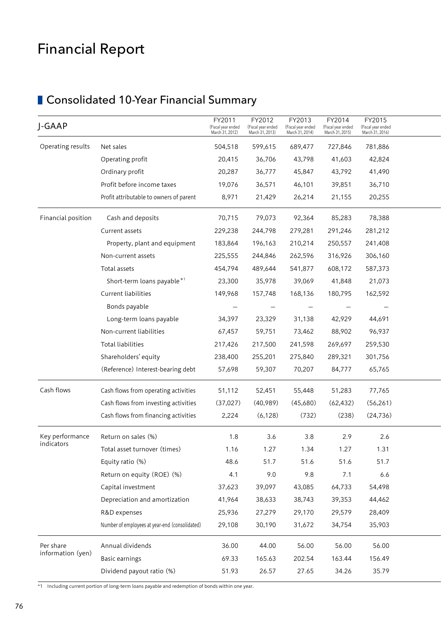# Financial Report

# **Consolidated 10-Year Financial Summary**

\*1 Including current portion of long-term loans payable and redemption of bonds within one year.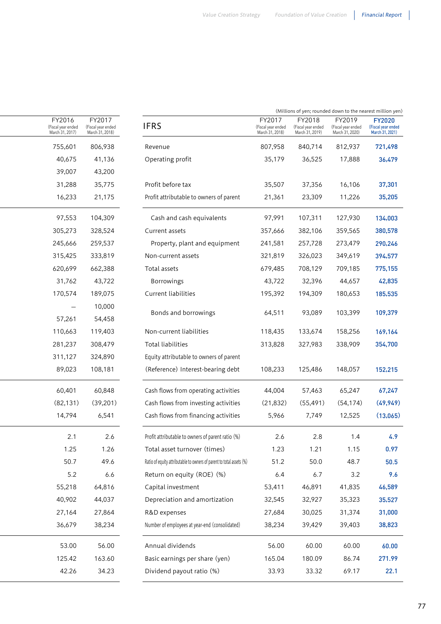| (Millions of yen; rounded down to the nearest million yen)                                                                                                                                     |                                                                |                                                 |
|------------------------------------------------------------------------------------------------------------------------------------------------------------------------------------------------|----------------------------------------------------------------|-------------------------------------------------|
| FY2017<br>FY2019<br>FY2018<br>(Fiscal year ended<br>(Fiscal year ended<br>(Fiscal year ended<br>(Fiscal year ended<br>March 31, 2019)<br>March 31, 2021)<br>March 31, 2018)<br>March 31, 2020) | FY2017<br><b>IFRS</b><br>(Fiscal year ended<br>March 31, 2018) | FY2016<br>(Fiscal year ended<br>March 31, 2017) |
| 807,958<br>840,714<br>812,937                                                                                                                                                                  | 806,938<br>Revenue                                             | 755,601                                         |
| 35,179<br>36,525<br>17,888                                                                                                                                                                     | 41,136<br>Operating profit                                     | 40,675                                          |
|                                                                                                                                                                                                | 43,200                                                         | 39,007                                          |
| 35,507<br>37,356<br>16,106                                                                                                                                                                     | Profit before tax<br>35,775                                    | 31,288                                          |
| Profit attributable to owners of parent<br>23,309<br>21,361<br>11,226                                                                                                                          | 21,175                                                         | 16,233                                          |
| 97,991<br>107,311<br>127,930<br>Cash and cash equivalents                                                                                                                                      | 104,309                                                        | 97,553                                          |
| 382,106<br>359,565<br>357,666                                                                                                                                                                  | 328,524<br>Current assets                                      | 305,273                                         |
| 257,728<br>273,479<br>241,581<br>Property, plant and equipment                                                                                                                                 | 259,537                                                        | 245,666                                         |
| 326,023<br>349,619<br>321,819                                                                                                                                                                  | 333,819<br>Non-current assets                                  | 315,425                                         |
| 679,485<br>708,129<br>709,185                                                                                                                                                                  | 662,388<br>Total assets                                        | 620,699                                         |
| 43,722<br>32,396<br>44,657<br>Borrowings                                                                                                                                                       | 43,722                                                         | 31,762                                          |
| 195,392<br>194,309<br>180,653                                                                                                                                                                  | 189,075<br>Current liabilities                                 | 170,574                                         |
|                                                                                                                                                                                                | 10,000                                                         | $\overline{\phantom{0}}$                        |
| 64,511<br>93,089<br>103,399<br>Bonds and borrowings                                                                                                                                            | 54,458                                                         | 57,261                                          |
| Non-current liabilities<br>118,435<br>133,674<br>158,256                                                                                                                                       | 119,403                                                        | 110,663                                         |
| 327,983<br>313,828<br>338,909                                                                                                                                                                  | 308,479<br>Total liabilities                                   | 281,237                                         |
| Equity attributable to owners of parent                                                                                                                                                        | 324,890                                                        | 311,127                                         |
| 125,486<br>148,057<br>(Reference) Interest-bearing debt<br>108,233                                                                                                                             | 108,181                                                        | 89,023                                          |
| 57,463<br>65,247<br>Cash flows from operating activities<br>44,004                                                                                                                             | 60,848                                                         | 60,401                                          |
| Cash flows from investing activities<br>(55, 491)<br>(54, 174)<br>(21, 832)                                                                                                                    | (39,201)                                                       | (82, 131)                                       |
| 12,525<br>Cash flows from financing activities<br>5,966<br>7,749                                                                                                                               | 6,541                                                          | 14,794                                          |
| Profit attributable to owners of parent ratio (%)<br>2.6<br>2.8<br>1.4                                                                                                                         | 2.6                                                            | 2.1                                             |
| 1.15<br>Total asset turnover (times)<br>1.23<br>1.21                                                                                                                                           | 1.26                                                           | 1.25                                            |
| 48.7<br>Ratio of equity attributable to owners of parent to total assets (%)<br>51.2<br>50.0                                                                                                   | 49.6                                                           | 50.7                                            |
| 3.2<br>Return on equity (ROE) (%)<br>6.4<br>6.7                                                                                                                                                | 6.6                                                            | 5.2                                             |
| 53,411<br>46,891<br>41,835                                                                                                                                                                     | 64,816<br>Capital investment                                   | 55,218                                          |
| Depreciation and amortization<br>32,927<br>35,323<br>32,545                                                                                                                                    | 44,037                                                         | 40,902                                          |
| 30,025<br>31,374<br>27,684                                                                                                                                                                     | 27,864<br>R&D expenses                                         | 27,164                                          |
| Number of employees at year-end (consolidated)<br>38,234<br>39,429<br>39,403                                                                                                                   | 38,234                                                         | 36,679                                          |
| 56.00<br>60.00<br>60.00                                                                                                                                                                        | 56.00<br>Annual dividends                                      | 53.00                                           |
| Basic earnings per share (yen)<br>86.74<br>165.04<br>180.09                                                                                                                                    | 163.60                                                         | 125.42                                          |
|                                                                                                                                                                                                |                                                                |                                                 |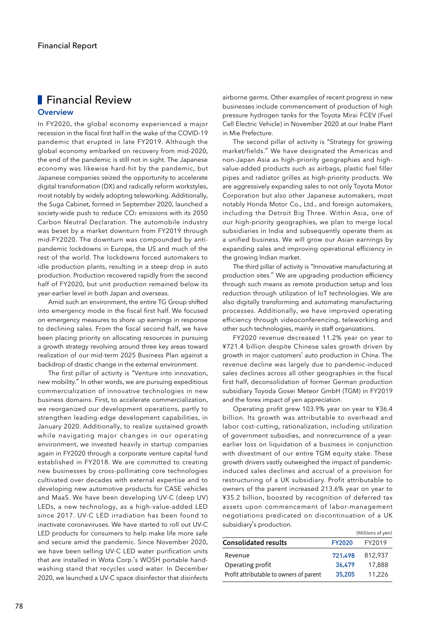## **Overview Financial Review**

In FY2020, the global economy experienced a major recession in the fiscal first half in the wake of the COVID-19 pandemic that erupted in late FY2019. Although the global economy embarked on recovery from mid-2020, the end of the pandemic is still not in sight. The Japanese economy was likewise hard-hit by the pandemic, but Japanese companies seized the opportunity to accelerate digital transformation (DX) and radically reform workstyles, most notably by widely adopting teleworking. Additionally, the Suga Cabinet, formed in September 2020, launched a society-wide push to reduce CO<sub>2</sub> emissions with its 2050 Carbon Neutral Declaration. The automobile industry was beset by a market downturn from FY2019 through mid-FY2020. The downturn was compounded by antipandemic lockdowns in Europe, the US and much of the rest of the world. The lockdowns forced automakers to idle production plants, resulting in a steep drop in auto production. Production recovered rapidly from the second half of FY2020, but unit production remained below its year-earlier level in both Japan and overseas.

Amid such an environment, the entire TG Group shifted into emergency mode in the fiscal first half. We focused on emergency measures to shore up earnings in response to declining sales. From the fiscal second half, we have been placing priority on allocating resources in pursuing a growth strategy revolving around three key areas toward realization of our mid-term 2025 Business Plan against a backdrop of drastic change in the external environment.

The first pillar of activity is "Venture into innovation, new mobility." In other words, we are pursuing expeditious commercialization of innovative technologies in new business domains. First, to accelerate commercialization, we reorganized our development operations, partly to strengthen leading-edge development capabilities, in January 2020. Additionally, to realize sustained growth while navigating major changes in our operating environment, we invested heavily in startup companies again in FY2020 through a corporate venture capital fund established in FY2018. We are committed to creating new businesses by cross-pollinating core technologies cultivated over decades with external expertise and to developing new automotive products for CASE vehicles and MaaS. We have been developing UV-C (deep UV) LEDs, a new technology, as a high-value-added LED since 2017. UV-C LED irradiation has been found to inactivate coronaviruses. We have started to roll out UV-C LED products for consumers to help make life more safe and secure amid the pandemic. Since November 2020, we have been selling UV-C LED water purification units that are installed in Wota Corp.'s WOSH portable handwashing stand that recycles used water. In December 2020, we launched a UV-C space disinfector that disinfects

airborne germs. Other examples of recent progress in new businesses include commencement of production of high pressure hydrogen tanks for the Toyota Mirai FCEV (Fuel Cell Electric Vehicle) in November 2020 at our Inabe Plant in Mie Prefecture.

The second pillar of activity is "Strategy for growing market/fields." We have designated the Americas and non-Japan Asia as high-priority geographies and highvalue-added products such as airbags, plastic fuel filler pipes and radiator grilles as high-priority products. We are aggressively expanding sales to not only Toyota Motor Corporation but also other Japanese automakers, most notably Honda Motor Co., Ltd., and foreign automakers, including the Detroit Big Three. Within Asia, one of our high-priority geographies, we plan to merge local subsidiaries in India and subsequently operate them as a unified business. We will grow our Asian earnings by expanding sales and improving operational efficiency in the growing Indian market.

The third pillar of activity is "Innovative manufacturing at production sites." We are upgrading production efficiency through such means as remote production setup and loss reduction through utilization of IoT technologies. We are also digitally transforming and automating manufacturing processes. Additionally, we have improved operating efficiency through videoconferencing, teleworking and other such technologies, mainly in staff organizations.

FY2020 revenue decreased 11.2% year on year to ¥721.4 billion despite Chinese sales growth driven by growth in major customers' auto production in China. The revenue decline was largely due to pandemic-induced sales declines across all other geographies in the fiscal first half, deconsolidation of former German production subsidiary Toyoda Gosei Meteor GmbH (TGM) in FY2019 and the forex impact of yen appreciation.

Operating profit grew 103.9% year on year to ¥36.4 billion. Its growth was attributable to overhead and labor cost-cutting, rationalization, including utilization of government subsidies, and nonrecurrence of a yearearlier loss on liquidation of a business in conjunction with divestment of our entire TGM equity stake. These growth drivers vastly outweighed the impact of pandemicinduced sales declines and accrual of a provision for restructuring of a UK subsidiary. Profit attributable to owners of the parent increased 213.6% year on year to ¥35.2 billion, boosted by recognition of deferred tax assets upon commencement of labor-management negotiations predicated on discontinuation of a UK subsidiary's production.

|                                         |               | (Millions of yen) |
|-----------------------------------------|---------------|-------------------|
| <b>Consolidated results</b>             | <b>FY2020</b> | FY2019            |
| Revenue                                 | 721.498       | 812.937           |
| Operating profit                        | 36,479        | 17.888            |
| Profit attributable to owners of parent | 35,205        | 11,226            |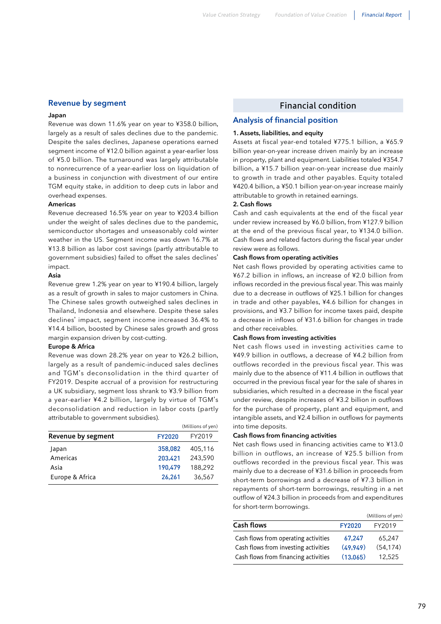## **Revenue by segment**

#### **Japan**

Revenue was down 11.6% year on year to ¥358.0 billion, largely as a result of sales declines due to the pandemic. Despite the sales declines, Japanese operations earned segment income of ¥12.0 billion against a year-earlier loss of ¥5.0 billion. The turnaround was largely attributable to nonrecurrence of a year-earlier loss on liquidation of a business in conjunction with divestment of our entire TGM equity stake, in addition to deep cuts in labor and overhead expenses.

#### **Americas**

Revenue decreased 16.5% year on year to ¥203.4 billion under the weight of sales declines due to the pandemic, semiconductor shortages and unseasonably cold winter weather in the US. Segment income was down 16.7% at ¥13.8 billion as labor cost savings (partly attributable to government subsidies) failed to offset the sales declines' impact.

#### **Asia**

Revenue grew 1.2% year on year to ¥190.4 billion, largely as a result of growth in sales to major customers in China. The Chinese sales growth outweighed sales declines in Thailand, Indonesia and elsewhere. Despite these sales declines' impact, segment income increased 36.4% to ¥14.4 billion, boosted by Chinese sales growth and gross margin expansion driven by cost-cutting.

#### **Europe & Africa**

Revenue was down 28.2% year on year to ¥26.2 billion, largely as a result of pandemic-induced sales declines and TGM's deconsolidation in the third quarter of FY2019. Despite accrual of a provision for restructuring a UK subsidiary, segment loss shrank to ¥3.9 billion from a year-earlier ¥4.2 billion, largely by virtue of TGM's deconsolidation and reduction in labor costs (partly attributable to government subsidies).

|               | (Millions of yen) |
|---------------|-------------------|
| <b>FY2020</b> | FY2019            |
| 358,082       | 405,116           |
| 203,421       | 243,590           |
| 190,479       | 188,292           |
| 26,261        | 36,567            |
|               |                   |

## Financial condition

## **Analysis of financial position**

## **1. Assets**, **liabilities**, **and equity**

Assets at fiscal year-end totaled ¥775.1 billion, a ¥65.9 billion year-on-year increase driven mainly by an increase in property, plant and equipment. Liabilities totaled ¥354.7 billion, a ¥15.7 billion year-on-year increase due mainly to growth in trade and other payables. Equity totaled ¥420.4 billion, a ¥50.1 billion year-on-year increase mainly attributable to growth in retained earnings.

### **2. Cash flows**

Cash and cash equivalents at the end of the fiscal year under review increased by ¥6.0 billion, from ¥127.9 billion at the end of the previous fiscal year, to ¥134.0 billion. Cash flows and related factors during the fiscal year under review were as follows.

### **Cash flows from operating activities**

Net cash flows provided by operating activities came to ¥67.2 billion in inflows, an increase of ¥2.0 billion from inflows recorded in the previous fiscal year. This was mainly due to a decrease in outflows of ¥25.1 billion for changes in trade and other payables, ¥4.6 billion for changes in provisions, and ¥3.7 billion for income taxes paid, despite a decrease in inflows of ¥31.6 billion for changes in trade and other receivables.

## **Cash flows from investing activities**

Net cash flows used in investing activities came to ¥49.9 billion in outflows, a decrease of ¥4.2 billion from outflows recorded in the previous fiscal year. This was mainly due to the absence of ¥11.4 billion in outflows that occurred in the previous fiscal year for the sale of shares in subsidiaries, which resulted in a decrease in the fiscal year under review, despite increases of ¥3.2 billion in outflows for the purchase of property, plant and equipment, and intangible assets, and ¥2.4 billion in outflows for payments into time deposits.

#### **Cash flows from financing activities**

Net cash flows used in financing activities came to ¥13.0 billion in outflows, an increase of ¥25.5 billion from outflows recorded in the previous fiscal year. This was mainly due to a decrease of ¥31.6 billion in proceeds from short-term borrowings and a decrease of ¥7.3 billion in repayments of short-term borrowings, resulting in a net outflow of ¥24.3 billion in proceeds from and expenditures for short-term borrowings.

|                                      |          | (Millions of yen) |
|--------------------------------------|----------|-------------------|
| <b>Cash flows</b>                    | FY2020   | FY2019            |
| Cash flows from operating activities | 67,247   | 65,247            |
| Cash flows from investing activities | (49.949) | (54.174)          |
| Cash flows from financing activities | (13,065) | 12.525            |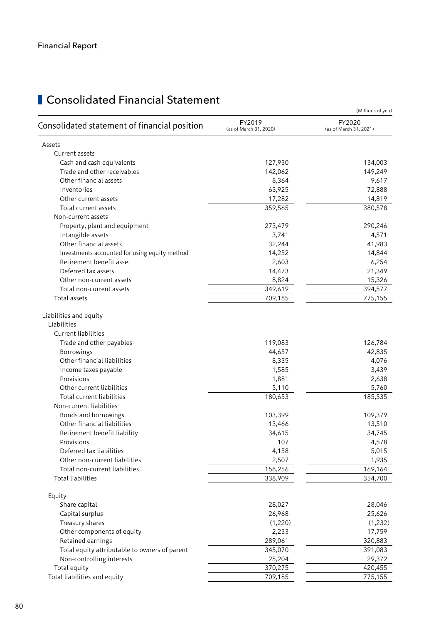|                                               |                                  | (Millions of yen)                |
|-----------------------------------------------|----------------------------------|----------------------------------|
| Consolidated statement of financial position  | FY2019<br>(as of March 31, 2020) | FY2020<br>(as of March 31, 2021) |
| Assets                                        |                                  |                                  |
| Current assets                                |                                  |                                  |
| Cash and cash equivalents                     | 127,930                          | 134,003                          |
| Trade and other receivables                   | 142,062                          | 149,249                          |
| Other financial assets                        | 8,364                            | 9,617                            |
| Inventories                                   | 63,925                           | 72,888                           |
| Other current assets                          | 17,282                           | 14,819                           |
| Total current assets                          | 359,565                          | 380,578                          |
| Non-current assets                            |                                  |                                  |
| Property, plant and equipment                 | 273,479                          | 290,246                          |
| Intangible assets                             | 3,741                            | 4,571                            |
| Other financial assets                        | 32,244                           | 41,983                           |
| Investments accounted for using equity method | 14,252                           | 14,844                           |
| Retirement benefit asset                      | 2,603                            | 6,254                            |
| Deferred tax assets                           | 14,473                           | 21,349                           |
| Other non-current assets                      | 8,824                            | 15,326                           |
| Total non-current assets                      | 349,619                          | 394,577                          |
| Total assets                                  | 709,185                          | 775,155                          |
| Liabilities and equity<br>Liabilities         |                                  |                                  |
| <b>Current liabilities</b>                    |                                  |                                  |
|                                               |                                  |                                  |
| Trade and other payables                      | 119,083                          | 126,784                          |
| Borrowings<br>Other financial liabilities     | 44,657                           | 42,835<br>4,076                  |
|                                               | 8,335<br>1,585                   | 3,439                            |
| Income taxes payable<br>Provisions            | 1,881                            | 2,638                            |
| Other current liabilities                     | 5,110                            | 5,760                            |
| Total current liabilities                     | 180,653                          | 185,535                          |
| Non-current liabilities                       |                                  |                                  |
| Bonds and borrowings                          | 103,399                          | 109,379                          |
| Other financial liabilities                   | 13,466                           | 13,510                           |
| Retirement benefit liability                  | 34,615                           | 34,745                           |
| Provisions                                    | 107                              | 4,578                            |
| Deferred tax liabilities                      | 4,158                            | 5,015                            |
| Other non-current liabilities                 | 2,507                            | 1,935                            |
| Total non-current liabilities                 | 158,256                          | 169,164                          |
| <b>Total liabilities</b>                      | 338,909                          | 354,700                          |
|                                               |                                  |                                  |
| Equity                                        |                                  |                                  |
| Share capital                                 | 28,027                           | 28,046                           |
| Capital surplus                               | 26,968                           | 25,626                           |
| Treasury shares                               | (1,220)                          | (1,232)                          |
| Other components of equity                    | 2,233                            | 17,759                           |
| Retained earnings                             | 289,061                          | 320,883                          |
| Total equity attributable to owners of parent | 345,070                          | 391,083                          |
| Non-controlling interests                     | 25,204                           | 29,372                           |
| Total equity                                  | 370,275                          | 420,455                          |
| Total liabilities and equity                  | 709,185                          | 775,155                          |

# **Consolidated Financial Statement**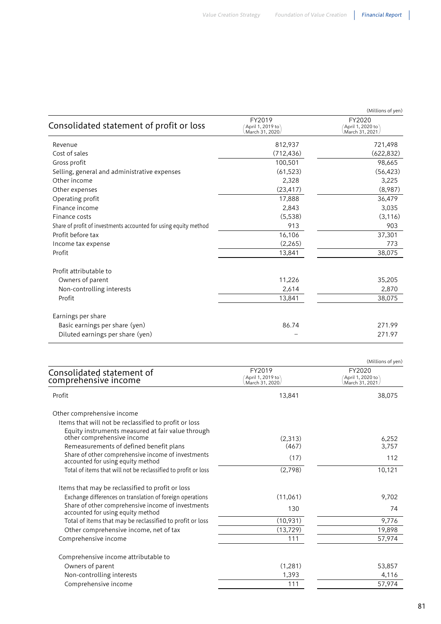| Consolidated statement of profit or loss                         | FY2019<br>April 1, 2019 to<br>March 31, 2020 | (Millions of yen)<br>FY2020<br>April 1, 2020 to<br>March 31, 2021 |
|------------------------------------------------------------------|----------------------------------------------|-------------------------------------------------------------------|
| Revenue                                                          | 812,937                                      | 721,498                                                           |
| Cost of sales                                                    | (712, 436)                                   | (622, 832)                                                        |
| Gross profit                                                     | 100,501                                      | 98,665                                                            |
| Selling, general and administrative expenses                     | (61, 523)                                    | (56, 423)                                                         |
| Other income                                                     | 2,328                                        | 3,225                                                             |
| Other expenses                                                   | (23, 417)                                    | (8,987)                                                           |
| Operating profit                                                 | 17,888                                       | 36,479                                                            |
| Finance income                                                   | 2,843                                        | 3,035                                                             |
| Finance costs                                                    | (5,538)                                      | (3, 116)                                                          |
| Share of profit of investments accounted for using equity method | 913                                          | 903                                                               |
| Profit before tax                                                | 16,106                                       | 37,301                                                            |
| Income tax expense                                               | (2,265)                                      | 773                                                               |
| Profit                                                           | 13,841                                       | 38,075                                                            |
| Profit attributable to                                           |                                              |                                                                   |
| Owners of parent                                                 | 11,226                                       | 35,205                                                            |
| Non-controlling interests                                        | 2,614                                        | 2,870                                                             |
| Profit                                                           | 13,841                                       | 38,075                                                            |
| Earnings per share                                               |                                              |                                                                   |
| Basic earnings per share (yen)                                   | 86.74                                        | 271.99                                                            |
| Diluted earnings per share (yen)                                 |                                              | 271.97                                                            |

|                                                                                         |                                              | (Millions of yen)                                    |
|-----------------------------------------------------------------------------------------|----------------------------------------------|------------------------------------------------------|
| Consolidated statement of<br>comprehensive income                                       | FY2019<br>April 1, 2019 to<br>March 31, 2020 | FY2020<br>$'$ April 1, 2020 to $'$<br>March 31, 2021 |
| Profit                                                                                  | 13,841                                       | 38,075                                               |
| Other comprehensive income                                                              |                                              |                                                      |
| Items that will not be reclassified to profit or loss                                   |                                              |                                                      |
| Equity instruments measured at fair value through                                       |                                              |                                                      |
| other comprehensive income                                                              | (2.313)                                      | 6,252                                                |
| Remeasurements of defined benefit plans                                                 | (467)                                        | 3,757                                                |
| Share of other comprehensive income of investments<br>accounted for using equity method | (17)                                         | 112                                                  |
| Total of items that will not be reclassified to profit or loss                          | (2,798)                                      | 10,121                                               |
| Items that may be reclassified to profit or loss                                        |                                              |                                                      |
| Exchange differences on translation of foreign operations                               | (11,061)                                     | 9,702                                                |
| Share of other comprehensive income of investments<br>accounted for using equity method | 130                                          | 74                                                   |
| Total of items that may be reclassified to profit or loss                               | (10,931)                                     | 9,776                                                |
| Other comprehensive income, net of tax                                                  | (13, 729)                                    | 19,898                                               |
| Comprehensive income                                                                    | 111                                          | 57,974                                               |
| Comprehensive income attributable to                                                    |                                              |                                                      |
| Owners of parent                                                                        | (1, 281)                                     | 53,857                                               |
| Non-controlling interests                                                               | 1,393                                        | 4,116                                                |
| Comprehensive income                                                                    | 111                                          | 57,974                                               |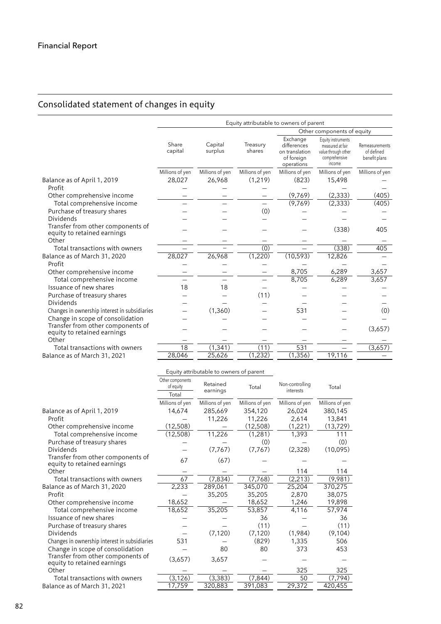## Consolidated statement of changes in equity

|                                                                           | Equity attributable to owners of parent |                    |                    |                                                                       |                                                                                          |                                               |
|---------------------------------------------------------------------------|-----------------------------------------|--------------------|--------------------|-----------------------------------------------------------------------|------------------------------------------------------------------------------------------|-----------------------------------------------|
|                                                                           |                                         |                    |                    | Other components of equity                                            |                                                                                          |                                               |
|                                                                           | Share<br>capital                        | Capital<br>surplus | Treasury<br>shares | Exchange<br>differences<br>on translation<br>of foreign<br>operations | Equity instruments<br>measured at fair<br>value through other<br>comprehensive<br>income | Remeasurements<br>of defined<br>benefit plans |
|                                                                           | Millions of yen                         | Millions of yen    | Millions of yen    | Millions of yen                                                       | Millions of yen                                                                          | Millions of yen                               |
| Balance as of April 1, 2019                                               | 28,027                                  | 26,968             | (1,219)            | (823)                                                                 | 15,498                                                                                   |                                               |
| Profit                                                                    |                                         |                    |                    |                                                                       |                                                                                          |                                               |
| Other comprehensive income                                                |                                         |                    |                    | (9,769)                                                               | (2, 333)                                                                                 | (405)                                         |
| Total comprehensive income                                                |                                         |                    |                    | (9,769)                                                               | (2, 333)                                                                                 | (405)                                         |
| Purchase of treasury shares                                               |                                         |                    | (0)                |                                                                       |                                                                                          |                                               |
| <b>Dividends</b>                                                          |                                         |                    |                    |                                                                       |                                                                                          |                                               |
| Transfer from other components of<br>equity to retained earnings<br>Other |                                         |                    |                    |                                                                       | (338)                                                                                    | 405                                           |
| Total transactions with owners                                            |                                         |                    | (0)                |                                                                       | (338)                                                                                    | 405                                           |
| Balance as of March 31, 2020                                              | 28,027                                  | 26,968             | (1,220)            | (10, 593)                                                             | 12,826                                                                                   |                                               |
| Profit                                                                    |                                         |                    |                    |                                                                       |                                                                                          |                                               |
| Other comprehensive income                                                |                                         |                    |                    | 8,705                                                                 | 6,289                                                                                    | 3,657                                         |
| Total comprehensive income                                                |                                         |                    |                    | 8,705                                                                 | 6,289                                                                                    | 3,657                                         |
| Issuance of new shares                                                    | 18                                      | 18                 |                    |                                                                       |                                                                                          |                                               |
| Purchase of treasury shares                                               |                                         |                    | (11)               |                                                                       |                                                                                          |                                               |
| <b>Dividends</b>                                                          |                                         |                    |                    |                                                                       |                                                                                          |                                               |
| Changes in ownership interest in subsidiaries                             |                                         | (1,360)            |                    | 531                                                                   |                                                                                          | (0)                                           |
| Change in scope of consolidation                                          |                                         |                    |                    |                                                                       |                                                                                          |                                               |
| Transfer from other components of<br>equity to retained earnings          |                                         |                    |                    |                                                                       |                                                                                          | (3,657)                                       |
| Other                                                                     |                                         |                    |                    |                                                                       |                                                                                          |                                               |
| Total transactions with owners                                            | 18                                      | (1, 341)           | (11)               | 531                                                                   |                                                                                          | (3,657)                                       |
| Balance as of March 31, 2021                                              | 28,046                                  | 25,626             | (1, 232)           | (1, 356)                                                              | 19,116                                                                                   |                                               |

|                                                                  | Other components<br>of equity<br>Total | Retained<br>earnings | Total           | Non-controlling<br>interests | Total           |
|------------------------------------------------------------------|----------------------------------------|----------------------|-----------------|------------------------------|-----------------|
|                                                                  | Millions of yen                        | Millions of yen      | Millions of yen | Millions of yen              | Millions of yen |
| Balance as of April 1, 2019                                      | 14,674                                 | 285,669              | 354,120         | 26,024                       | 380,145         |
| Profit                                                           |                                        | 11,226               | 11,226          | 2,614                        | 13,841          |
| Other comprehensive income                                       | (12,508)                               |                      | (12,508)        | (1,221)                      | (13, 729)       |
| Total comprehensive income                                       | (12,508)                               | 11,226               | (1,281)         | 1,393                        | 111             |
| Purchase of treasury shares                                      |                                        |                      | (0)             |                              | (0)             |
| Dividends                                                        |                                        | (7,767)              | (7,767)         | (2,328)                      | (10,095)        |
| Transfer from other components of<br>equity to retained earnings | 67                                     | (67)                 |                 |                              |                 |
| Other                                                            |                                        |                      |                 | 114                          | 114             |
| Total transactions with owners                                   | 67                                     | (7, 834)             | (7,768)         | (2, 213)                     | (9,981)         |
| Balance as of March 31, 2020                                     | 2,233                                  | 289,061              | 345,070         | 25,204                       | 370,275         |
| Profit                                                           |                                        | 35,205               | 35,205          | 2,870                        | 38,075          |
| Other comprehensive income                                       | 18,652                                 |                      | 18,652          | 1,246                        | 19,898          |
| Total comprehensive income                                       | 18,652                                 | 35,205               | 53,857          | 4,116                        | 57,974          |
| Issuance of new shares                                           |                                        |                      | 36              |                              | 36              |
| Purchase of treasury shares                                      |                                        |                      | (11)            |                              | (11)            |
| <b>Dividends</b>                                                 |                                        | (7, 120)             | (7, 120)        | (1,984)                      | (9,104)         |
| Changes in ownership interest in subsidiaries                    | 531                                    |                      | (829)           | 1,335                        | 506             |
| Change in scope of consolidation                                 |                                        | 80                   | 80              | 373                          | 453             |
| Transfer from other components of<br>equity to retained earnings | (3,657)                                | 3,657                |                 |                              |                 |
| Other                                                            |                                        |                      |                 | 325                          | 325             |
| Total transactions with owners                                   | (3, 126)                               | (3, 383)             | (7, 844)        | 50                           | (7, 794)        |
| Balance as of March 31, 2021                                     | 17,759                                 | 320,883              | 391,083         | 29,372                       | 420,455         |